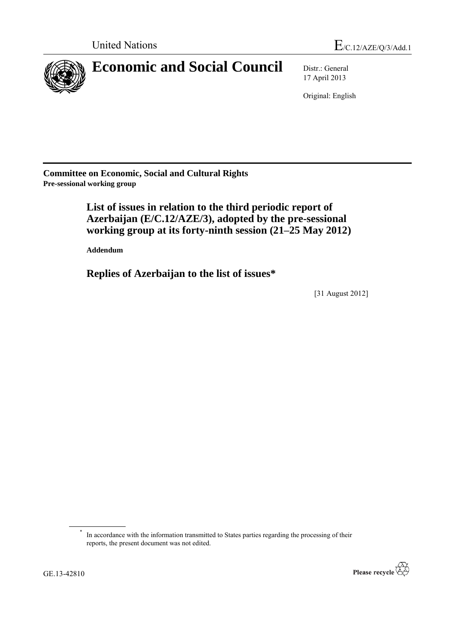

17 April 2013

Original: English

**Committee on Economic, Social and Cultural Rights Pre-sessional working group**

# **List of issues in relation to the third periodic report of Azerbaijan (E/C.12/AZE/3), adopted by the pre-sessional working group at its forty-ninth session (21–25 May 2012)**

**Addendum**

**Replies of Azerbaijan to the list of issues\***

[31 August 2012]

<sup>\*</sup> In accordance with the information transmitted to States parties regarding the processing of their reports, the present document was not edited.

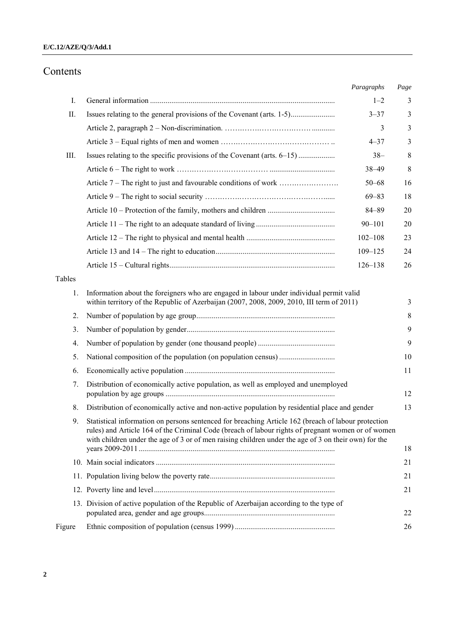## Contents

|        |                                                                                                                                                                                                                                                                                                                   | Paragraphs  | Page |
|--------|-------------------------------------------------------------------------------------------------------------------------------------------------------------------------------------------------------------------------------------------------------------------------------------------------------------------|-------------|------|
| Ι.     |                                                                                                                                                                                                                                                                                                                   | $1 - 2$     | 3    |
| Π.     | Issues relating to the general provisions of the Covenant (arts. 1-5)                                                                                                                                                                                                                                             | $3 - 37$    | 3    |
|        |                                                                                                                                                                                                                                                                                                                   | 3           | 3    |
|        |                                                                                                                                                                                                                                                                                                                   | $4 - 37$    | 3    |
| III.   | Issues relating to the specific provisions of the Covenant (arts. 6–15)                                                                                                                                                                                                                                           | $38 -$      | 8    |
|        |                                                                                                                                                                                                                                                                                                                   | 38-49       | 8    |
|        |                                                                                                                                                                                                                                                                                                                   | $50 - 68$   | 16   |
|        |                                                                                                                                                                                                                                                                                                                   | $69 - 83$   | 18   |
|        |                                                                                                                                                                                                                                                                                                                   | $84 - 89$   | 20   |
|        |                                                                                                                                                                                                                                                                                                                   | $90 - 101$  | 20   |
|        |                                                                                                                                                                                                                                                                                                                   | $102 - 108$ | 23   |
|        |                                                                                                                                                                                                                                                                                                                   | $109 - 125$ | 24   |
|        |                                                                                                                                                                                                                                                                                                                   | $126 - 138$ | 26   |
| Tables |                                                                                                                                                                                                                                                                                                                   |             |      |
| 1.     | Information about the foreigners who are engaged in labour under individual permit valid<br>within territory of the Republic of Azerbaijan (2007, 2008, 2009, 2010, III term of 2011)                                                                                                                             |             | 3    |
| 2.     |                                                                                                                                                                                                                                                                                                                   |             | 8    |
| 3.     |                                                                                                                                                                                                                                                                                                                   |             | 9    |
| 4.     |                                                                                                                                                                                                                                                                                                                   |             | 9    |
| 5.     |                                                                                                                                                                                                                                                                                                                   |             | 10   |
| 6.     |                                                                                                                                                                                                                                                                                                                   |             | 11   |
| 7.     | Distribution of economically active population, as well as employed and unemployed                                                                                                                                                                                                                                |             | 12   |
| 8.     | Distribution of economically active and non-active population by residential place and gender                                                                                                                                                                                                                     |             | 13   |
| 9.     | Statistical information on persons sentenced for breaching Article 162 (breach of labour protection<br>rules) and Article 164 of the Criminal Code (breach of labour rights of pregnant women or of women<br>with children under the age of 3 or of men raising children under the age of 3 on their own) for the |             |      |
|        |                                                                                                                                                                                                                                                                                                                   |             | 18   |
|        |                                                                                                                                                                                                                                                                                                                   |             | 21   |
|        |                                                                                                                                                                                                                                                                                                                   |             | 21   |
|        |                                                                                                                                                                                                                                                                                                                   |             | 21   |
|        | 13. Division of active population of the Republic of Azerbaijan according to the type of                                                                                                                                                                                                                          |             | 22   |
| Figure |                                                                                                                                                                                                                                                                                                                   |             | 26   |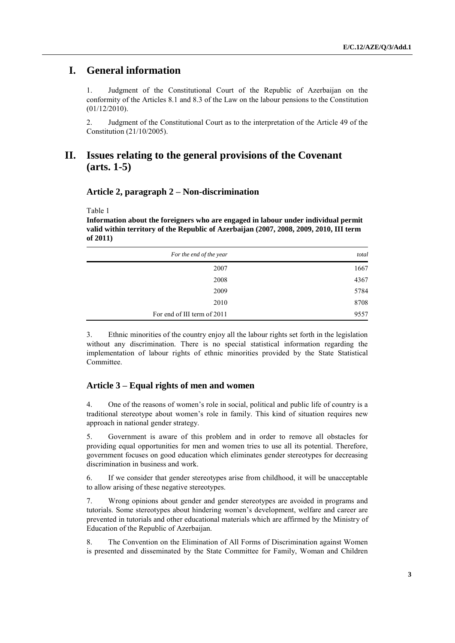## **I. General information**

1. Judgment of the Constitutional Court of the Republic of Azerbaijan on the conformity of the Articles 8.1 and 8.3 of the Law on the labour pensions to the Constitution (01/12/2010).

2. Judgment of the Constitutional Court as to the interpretation of the Article 49 of the Constitution (21/10/2005).

## **II. Issues relating to the general provisions of the Covenant (arts. 1-5)**

## **Article 2, paragraph 2 – Non-discrimination**

Table 1

**Information about the foreigners who are engaged in labour under individual permit valid within territory of the Republic of Azerbaijan (2007, 2008, 2009, 2010, III term of 2011)**

| For the end of the year     | total |
|-----------------------------|-------|
| 2007                        | 1667  |
| 2008                        | 4367  |
| 2009                        | 5784  |
| 2010                        | 8708  |
| For end of III term of 2011 | 9557  |

3. Ethnic minorities of the country enjoy all the labour rights set forth in the legislation without any discrimination. There is no special statistical information regarding the implementation of labour rights of ethnic minorities provided by the State Statistical Committee.

## **Article 3 – Equal rights of men and women**

4. One of the reasons of women's role in social, political and public life of country is a traditional stereotype about women's role in family. This kind of situation requires new approach in national gender strategy.

5. Government is aware of this problem and in order to remove all obstacles for providing equal opportunities for men and women tries to use all its potential. Therefore, government focuses on good education which eliminates gender stereotypes for decreasing discrimination in business and work.

6. If we consider that gender stereotypes arise from childhood, it will be unacceptable to allow arising of these negative stereotypes.

7. Wrong opinions about gender and gender stereotypes are avoided in programs and tutorials. Some stereotypes about hindering women's development, welfare and career are prevented in tutorials and other educational materials which are affirmed by the Ministry of Education of the Republic of Azerbaijan.

8. The Convention on the Elimination of All Forms of Discrimination against Women is presented and disseminated by the State Committee for Family, Woman and Children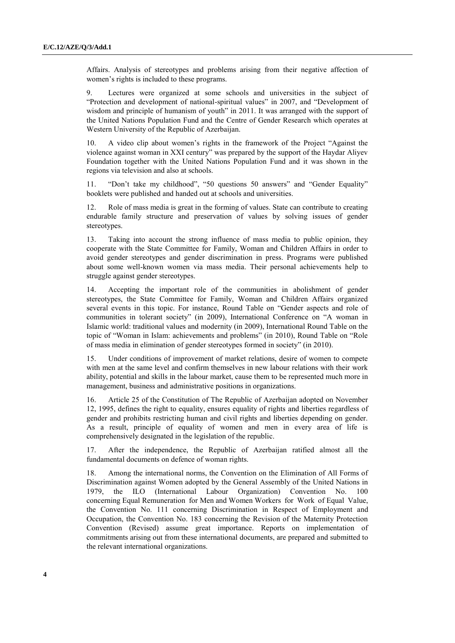Affairs. Analysis of stereotypes and problems arising from their negative affection of women's rights is included to these programs.

9. Lectures were organized at some schools and universities in the subject of "Protection and development of national-spiritual values" in 2007, and "Development of wisdom and principle of humanism of youth" in 2011. It was arranged with the support of the United Nations Population Fund and the Centre of Gender Research which operates at Western University of the Republic of Azerbaijan.

10. A video clip about women's rights in the framework of the Project "Against the violence against woman in XXI century" was prepared by the support of the Haydar Aliyev Foundation together with the United Nations Population Fund and it was shown in the regions via television and also at schools.

11. "Don't take my childhood", "50 questions 50 answers" and "Gender Equality" booklets were published and handed out at schools and universities.

12. Role of mass media is great in the forming of values. State can contribute to creating endurable family structure and preservation of values by solving issues of gender stereotypes.

13. Taking into account the strong influence of mass media to public opinion, they cooperate with the State Committee for Family, Woman and Children Affairs in order to avoid gender stereotypes and gender discrimination in press. Programs were published about some well-known women via mass media. Their personal achievements help to struggle against gender stereotypes.

14. Accepting the important role of the communities in abolishment of gender stereotypes, the State Committee for Family, Woman and Children Affairs organized several events in this topic. For instance, Round Table on "Gender aspects and role of communities in tolerant society" (in 2009), International Conference on "A woman in Islamic world: traditional values and modernity (in 2009), International Round Table on the topic of "Woman in Islam: achievements and problems" (in 2010), Round Table on "Role of mass media in elimination of gender stereotypes formed in society" (in 2010).

15. Under conditions of improvement of market relations, desire of women to compete with men at the same level and confirm themselves in new labour relations with their work ability, potential and skills in the labour market, cause them to be represented much more in management, business and administrative positions in organizations.

16. Article 25 of the Constitution of The Republic of Azerbaijan adopted on November 12, 1995, defines the right to equality, ensures equality of rights and liberties regardless of gender and prohibits restricting human and civil rights and liberties depending on gender. As a result, principle of equality of women and men in every area of life is comprehensively designated in the legislation of the republic.

17. After the independence, the Republic of Azerbaijan ratified almost all the fundamental documents on defence of woman rights.

18. Among the international norms, the Convention on the Elimination of All Forms of Discrimination against Women adopted by the General Assembly of the United Nations in 1979, the ILO (International Labour Organization) Convention No. 100 concerning Equal Remuneration for Men and Women Workers for Work of Equal Value, the Convention No. 111 concerning Discrimination in Respect of Employment and Occupation, the Convention No. 183 concerning the Revision of the Maternity Protection Convention (Revised) assume great importance. Reports on implementation of commitments arising out from these international documents, are prepared and submitted to the relevant international organizations.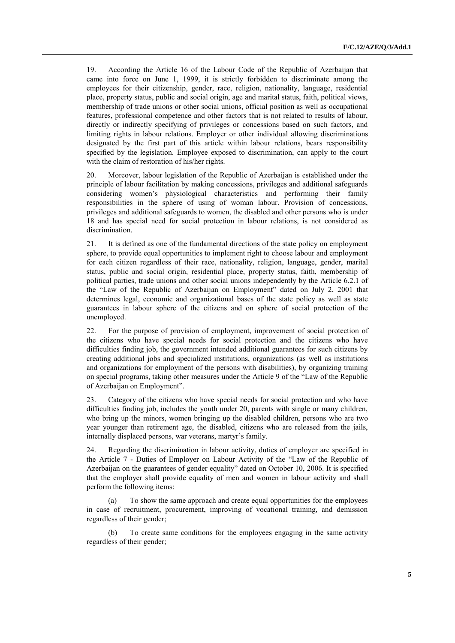19. According the Article 16 of the Labour Code of the Republic of Azerbaijan that came into force on June 1, 1999, it is strictly forbidden to discriminate among the employees for their citizenship, gender, race, religion, nationality, language, residential place, property status, public and social origin, age and marital status, faith, political views, membership of trade unions or other social unions, official position as well as occupational features, professional competence and other factors that is not related to results of labour, directly or indirectly specifying of privileges or concessions based on such factors, and limiting rights in labour relations. Employer or other individual allowing discriminations designated by the first part of this article within labour relations, bears responsibility specified by the legislation. Employee exposed to discrimination, can apply to the court with the claim of restoration of his/her rights.

20. Moreover, labour legislation of the Republic of Azerbaijan is established under the principle of labour facilitation by making concessions, privileges and additional safeguards considering women's physiological characteristics and performing their family responsibilities in the sphere of using of woman labour. Provision of concessions, privileges and additional safeguards to women, the disabled and other persons who is under 18 and has special need for social protection in labour relations, is not considered as discrimination.

21. It is defined as one of the fundamental directions of the state policy on employment sphere, to provide equal opportunities to implement right to choose labour and employment for each citizen regardless of their race, nationality, religion, language, gender, marital status, public and social origin, residential place, property status, faith, membership of political parties, trade unions and other social unions independently by the Article 6.2.1 of the "Law of the Republic of Azerbaijan on Employment" dated on July 2, 2001 that determines legal, economic and organizational bases of the state policy as well as state guarantees in labour sphere of the citizens and on sphere of social protection of the unemployed.

22. For the purpose of provision of employment, improvement of social protection of the citizens who have special needs for social protection and the citizens who have difficulties finding job, the government intended additional guarantees for such citizens by creating additional jobs and specialized institutions, organizations (as well as institutions and organizations for employment of the persons with disabilities), by organizing training on special programs, taking other measures under the Article 9 of the "Law of the Republic of Azerbaijan on Employment".

23. Category of the citizens who have special needs for social protection and who have difficulties finding job, includes the youth under 20, parents with single or many children, who bring up the minors, women bringing up the disabled children, persons who are two year younger than retirement age, the disabled, citizens who are released from the jails, internally displaced persons, war veterans, martyr's family.

24. Regarding the discrimination in labour activity, duties of employer are specified in the Article 7 - Duties of Employer on Labour Activity of the "Law of the Republic of Azerbaijan on the guarantees of gender equality" dated on October 10, 2006. It is specified that the employer shall provide equality of men and women in labour activity and shall perform the following items:

(a) To show the same approach and create equal opportunities for the employees in case of recruitment, procurement, improving of vocational training, and demission regardless of their gender;

(b) To create same conditions for the employees engaging in the same activity regardless of their gender;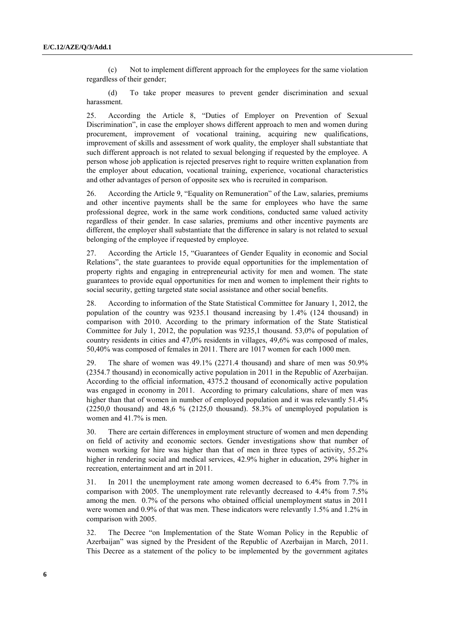(c) Not to implement different approach for the employees for the same violation regardless of their gender;

(d) To take proper measures to prevent gender discrimination and sexual harassment.

25. According the Article 8, "Duties of Employer on Prevention of Sexual Discrimination", in case the employer shows different approach to men and women during procurement, improvement of vocational training, acquiring new qualifications, improvement of skills and assessment of work quality, the employer shall substantiate that such different approach is not related to sexual belonging if requested by the employee. A person whose job application is rejected preserves right to require written explanation from the employer about education, vocational training, experience, vocational characteristics and other advantages of person of opposite sex who is recruited in comparison.

26. According the Article 9, "Equality on Remuneration" of the Law, salaries, premiums and other incentive payments shall be the same for employees who have the same professional degree, work in the same work conditions, conducted same valued activity regardless of their gender. In case salaries, premiums and other incentive payments are different, the employer shall substantiate that the difference in salary is not related to sexual belonging of the employee if requested by employee.

27. According the Article 15, "Guarantees of Gender Equality in economic and Social Relations", the state guarantees to provide equal opportunities for the implementation of property rights and engaging in entrepreneurial activity for men and women. The state guarantees to provide equal opportunities for men and women to implement their rights to social security, getting targeted state social assistance and other social benefits.

28. According to information of the State Statistical Committee for January 1, 2012, the population of the country was 9235.1 thousand increasing by 1.4% (124 thousand) in comparison with 2010. According to the primary information of the State Statistical Committee for July 1, 2012, the population was  $9235.1$  thousand. 53,0% of population of country residents in cities and 47,0% residents in villages, 49,6% was composed of males, 50,40% was composed of females in 2011. There are 1017 women for each 1000 men.

29. The share of women was 49.1% (2271.4 thousand) and share of men was 50.9% (2354.7 thousand) in economically active population in 2011 in the Republic of Azerbaijan. According to the official information, 4375.2 thousand of economically active population was engaged in economy in 2011. According to primary calculations, share of men was higher than that of women in number of employed population and it was relevantly 51.4%  $(2250,0)$  thousand) and 48,6 %  $(2125,0)$  thousand). 58.3% of unemployed population is women and 41.7% is men.

30. There are certain differences in employment structure of women and men depending on field of activity and economic sectors. Gender investigations show that number of women working for hire was higher than that of men in three types of activity, 55.2% higher in rendering social and medical services, 42.9% higher in education, 29% higher in recreation, entertainment and art in 2011.

31. In 2011 the unemployment rate among women decreased to 6.4% from 7.7% in comparison with 2005. The unemployment rate relevantly decreased to 4.4% from 7.5% among the men. 0.7% of the persons who obtained official unemployment status in 2011 were women and 0.9% of that was men. These indicators were relevantly 1.5% and 1.2% in comparison with 2005.

32. The Decree "on Implementation of the State Woman Policy in the Republic of Azerbaijan" was signed by the President of the Republic of Azerbaijan in March, 2011. This Decree as a statement of the policy to be implemented by the government agitates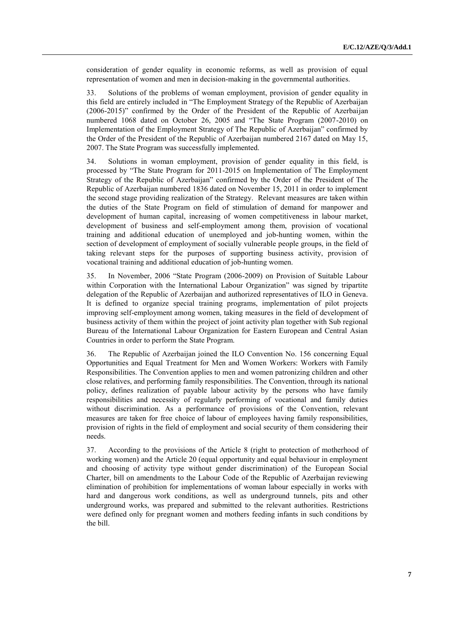consideration of gender equality in economic reforms, as well as provision of equal representation of women and men in decision-making in the governmental authorities.

33. Solutions of the problems of woman employment, provision of gender equality in this field are entirely included in "The Employment Strategy of the Republic of Azerbaijan (2006-2015)" confirmed by the Order of the President of the Republic of Azerbaijan numbered 1068 dated on October 26, 2005 and "The State Program (2007-2010) on Implementation of the Employment Strategy of The Republic of Azerbaijan" confirmed by the Order of the President of the Republic of Azerbaijan numbered 2167 dated on May 15, 2007. The State Program was successfully implemented.

34. Solutions in woman employment, provision of gender equality in this field, is processed by "The State Program for 2011-2015 on Implementation of The Employment Strategy of the Republic of Azerbaijan" confirmed by the Order of the President of The Republic of Azerbaijan numbered 1836 dated on November 15, 2011 in order to implement the second stage providing realization of the Strategy. Relevant measures are taken within the duties of the State Program on field of stimulation of demand for manpower and development of human capital, increasing of women competitiveness in labour market, development of business and self-employment among them, provision of vocational training and additional education of unemployed and job-hunting women, within the section of development of employment of socially vulnerable people groups, in the field of taking relevant steps for the purposes of supporting business activity, provision of vocational training and additional education of job-hunting women.

35. In November, 2006 "State Program (2006-2009) on Provision of Suitable Labour within Corporation with the International Labour Organization" was signed by tripartite delegation of the Republic of Azerbaijan and authorized representatives of ILO in Geneva. It is defined to organize special training programs, implementation of pilot projects improving self-employment among women, taking measures in the field of development of business activity of them within the project of joint activity plan together with Sub regional Bureau of the International Labour Organization for Eastern European and Central Asian Countries in order to perform the State Program.

36. The Republic of Azerbaijan joined the ILO Convention No. 156 concerning Equal Opportunities and Equal Treatment for Men and Women Workers: Workers with Family Responsibilities. The Convention applies to men and women patronizing children and other close relatives, and performing family responsibilities. The Convention, through its national policy, defines realization of payable labour activity by the persons who have family responsibilities and necessity of regularly performing of vocational and family duties without discrimination. As a performance of provisions of the Convention, relevant measures are taken for free choice of labour of employees having family responsibilities, provision of rights in the field of employment and social security of them considering their needs.

37. According to the provisions of the Article 8 (right to protection of motherhood of working women) and the Article 20 (equal opportunity and equal behaviour in employment and choosing of activity type without gender discrimination) of the European Social Charter, bill on amendments to the Labour Code of the Republic of Azerbaijan reviewing elimination of prohibition for implementations of woman labour especially in works with hard and dangerous work conditions, as well as underground tunnels, pits and other underground works, was prepared and submitted to the relevant authorities. Restrictions were defined only for pregnant women and mothers feeding infants in such conditions by the bill.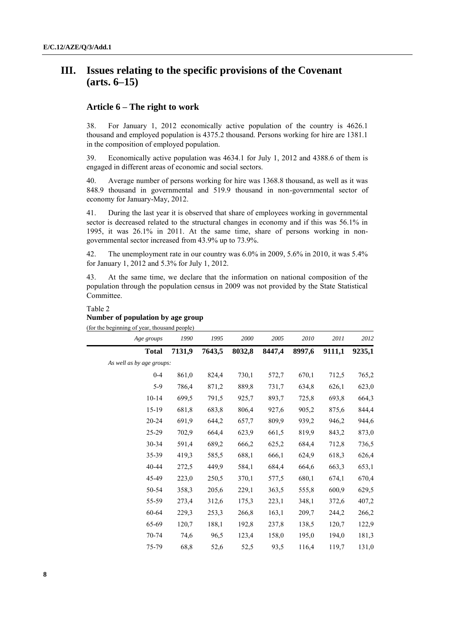# **III. Issues relating to the specific provisions of the Covenant (arts. 6–15)**

## **Article 6 – The right to work**

38. For January 1, 2012 economically active population of the country is 4626.1 thousand and employed population is 4375.2 thousand. Persons working for hire are 1381.1 in the composition of employed population.

39. Economically active population was 4634.1 for July 1, 2012 and 4388.6 of them is engaged in different areas of economic and social sectors.

40. Average number of persons working for hire was 1368.8 thousand, as well as it was 848.9 thousand in governmental and 519.9 thousand in non-governmental sector of economy for January-May, 2012.

41. During the last year it is observed that share of employees working in governmental sector is decreased related to the structural changes in economy and if this was 56.1% in 1995, it was 26.1% in 2011. At the same time, share of persons working in nongovernmental sector increased from 43.9% up to 73.9%.

42. The unemployment rate in our country was 6.0% in 2009, 5.6% in 2010, it was 5.4% for January 1, 2012 and 5.3% for July 1, 2012.

43. At the same time, we declare that the information on national composition of the population through the population census in 2009 was not provided by the State Statistical Committee.

Table 2

#### **Number of population by age group** (for the beginning of year, thousand people)

| Age groups                | 1990   | 1995   | 2000   | 2005   | 2010   | 2011   | 2012   |
|---------------------------|--------|--------|--------|--------|--------|--------|--------|
| <b>Total</b>              | 7131,9 | 7643,5 | 8032,8 | 8447,4 | 8997,6 | 9111,1 | 9235,1 |
| As well as by age groups: |        |        |        |        |        |        |        |
| $0 - 4$                   | 861,0  | 824,4  | 730,1  | 572,7  | 670,1  | 712,5  | 765,2  |
| $5-9$                     | 786,4  | 871,2  | 889,8  | 731,7  | 634,8  | 626,1  | 623,0  |
| $10 - 14$                 | 699,5  | 791,5  | 925,7  | 893,7  | 725,8  | 693,8  | 664,3  |
| 15-19                     | 681,8  | 683,8  | 806,4  | 927,6  | 905,2  | 875,6  | 844,4  |
| 20-24                     | 691,9  | 644,2  | 657,7  | 809.9  | 939,2  | 946,2  | 944,6  |
| 25-29                     | 702,9  | 664,4  | 623.9  | 661,5  | 819.9  | 843,2  | 873,0  |
| 30-34                     | 591,4  | 689,2  | 666,2  | 625,2  | 684,4  | 712,8  | 736,5  |
| 35-39                     | 419,3  | 585,5  | 688,1  | 666,1  | 624,9  | 618,3  | 626,4  |
| 40-44                     | 272,5  | 449,9  | 584,1  | 684,4  | 664,6  | 663,3  | 653,1  |
| 45-49                     | 223,0  | 250,5  | 370,1  | 577,5  | 680,1  | 674,1  | 670,4  |
| 50-54                     | 358,3  | 205,6  | 229,1  | 363,5  | 555,8  | 600,9  | 629,5  |
| 55-59                     | 273,4  | 312,6  | 175,3  | 223,1  | 348,1  | 372,6  | 407,2  |
| 60-64                     | 229,3  | 253,3  | 266,8  | 163,1  | 209,7  | 244,2  | 266,2  |
| 65-69                     | 120,7  | 188,1  | 192,8  | 237,8  | 138,5  | 120,7  | 122,9  |
| 70-74                     | 74,6   | 96,5   | 123,4  | 158,0  | 195,0  | 194,0  | 181,3  |
| 75-79                     | 68,8   | 52,6   | 52,5   | 93,5   | 116,4  | 119,7  | 131,0  |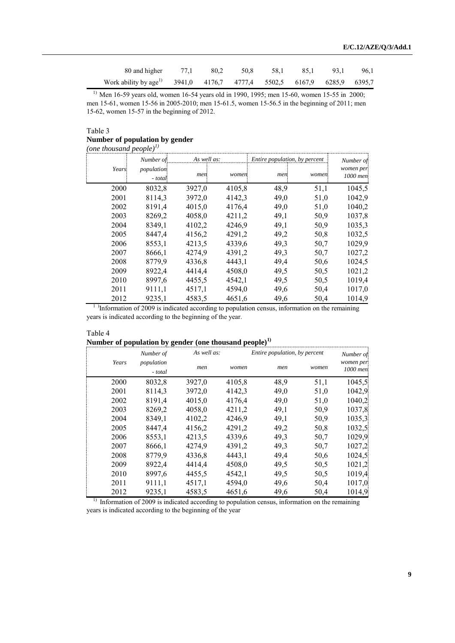| 80 and higher 77,1 80,2 50,8 58,1 85,1 93,1                                       |  |  |  | 96.1 |
|-----------------------------------------------------------------------------------|--|--|--|------|
| Work ability by age <sup>1</sup> 3941,0 4176,7 4777,4 5502,5 6167,9 6285,9 6395,7 |  |  |  |      |

<sup>1)</sup> Men 16-59 years old, women 16-54 years old in 1990, 1995; men 15-60, women 15-55 in 2000; men 15-61, women 15-56 in 2005-2010; men 15-61.5, women 15-56.5 in the beginning of 2011; men 15-62, women 15-57 in the beginning of 2012.

#### Table 3 **Number of population by gender**

*(one thousand people)1)*

|       | Number of             | As well as: |        | Entire population, by percent |       | Number of             |  |
|-------|-----------------------|-------------|--------|-------------------------------|-------|-----------------------|--|
| Years | population<br>- total | men         | women  | men                           | women | women per<br>1000 men |  |
| 2000  | 8032,8                | 3927,0      | 4105,8 | 48,9                          | 51,1  | 1045,5                |  |
| 2001  | 8114,3                | 3972,0      | 4142,3 | 49,0                          | 51,0  | 1042,9                |  |
| 2002  | 8191,4                | 4015,0      | 4176,4 | 49,0                          | 51,0  | 1040,2                |  |
| 2003  | 8269,2                | 4058,0      | 4211,2 | 49,1                          | 50,9  | 1037,8                |  |
| 2004  | 8349,1                | 4102,2      | 4246,9 | 49,1                          | 50,9  | 1035,3                |  |
| 2005  | 8447,4                | 4156,2      | 4291,2 | 49,2                          | 50,8  | 1032,5                |  |
| 2006  | 8553,1                | 4213,5      | 4339,6 | 49,3                          | 50,7  | 1029,9                |  |
| 2007  | 8666,1                | 4274,9      | 4391,2 | 49,3                          | 50,7  | 1027,2                |  |
| 2008  | 8779,9                | 4336,8      | 4443,1 | 49,4                          | 50,6  | 1024,5                |  |
| 2009  | 8922,4                | 4414,4      | 4508,0 | 49,5                          | 50,5  | 1021,2                |  |
| 2010  | 8997,6                | 4455,5      | 4542,1 | 49,5                          | 50,5  | 1019,4                |  |
| 2011  | 9111,1                | 4517,1      | 4594,0 | 49,6                          | 50,4  | 1017,0                |  |
| 2012  | 9235,1                | 4583,5      | 4651,6 | 49,6                          | 50,4  | 1014,9                |  |

<sup>1</sup>)Information of 2009 is indicated according to population census, information on the remaining years is indicated according to the beginning of the year.

| Table 4                                                            |  |
|--------------------------------------------------------------------|--|
| Number of population by gender (one thousand people) <sup>1)</sup> |  |

|       | Number of             | As well as: |        | Entire population, by percent |       | Number of             |
|-------|-----------------------|-------------|--------|-------------------------------|-------|-----------------------|
| Years | population<br>- total | men         | women  | men                           | women | women per<br>1000 men |
| 2000  | 8032,8                | 3927,0      | 4105,8 | 48,9                          | 51,1  | 1045,5                |
| 2001  | 8114,3                | 3972,0      | 4142,3 | 49,0                          | 51,0  | 1042,9                |
| 2002  | 8191,4                | 4015,0      | 4176,4 | 49,0                          | 51,0  | 1040,2                |
| 2003  | 8269,2                | 4058,0      | 4211,2 | 49,1                          | 50,9  | 1037,8                |
| 2004  | 8349,1                | 4102,2      | 4246,9 | 49,1                          | 50,9  | 1035,3                |
| 2005  | 8447.4                | 4156,2      | 4291,2 | 49,2                          | 50,8  | 1032,5                |
| 2006  | 8553.1                | 4213,5      | 4339,6 | 49,3                          | 50,7  | 1029,9                |
| 2007  | 8666,1                | 4274,9      | 4391,2 | 49,3                          | 50,7  | 1027,2                |
| 2008  | 8779,9                | 4336,8      | 4443,1 | 49,4                          | 50.6  | 1024,5                |
| 2009  | 8922,4                | 4414,4      | 4508,0 | 49,5                          | 50.5  | 1021,2                |
| 2010  | 8997,6                | 4455,5      | 4542,1 | 49,5                          | 50.5  | 1019,4                |
| 2011  | 9111,1                | 4517,1      | 4594,0 | 49,6                          | 50,4  | 1017,0                |
| 2012  | 9235,1                | 4583,5      | 4651,6 | 49,6                          | 50,4  | 1014,9                |

<sup>1)</sup> Information of 2009 is indicated according to population census, information on the remaining years is indicated according to the beginning of the year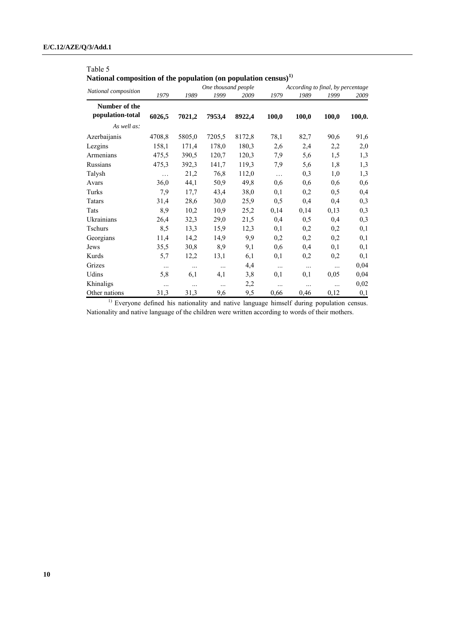# Table 5

**National composition of the population (on population census)1)**

|                                   |          |          | One thousand people |        |          | According to final, by percentage |       |        |
|-----------------------------------|----------|----------|---------------------|--------|----------|-----------------------------------|-------|--------|
| National composition              | 1979     | 1989     | 1999                | 2009   | 1979     | 1989                              | 1999  | 2009   |
| Number of the<br>population-total | 6026,5   | 7021,2   | 7953,4              | 8922,4 | 100,0    | 100,0                             | 100,0 | 100,0. |
| As well as:                       |          |          |                     |        |          |                                   |       |        |
| Azerbaijanis                      | 4708,8   | 5805,0   | 7205,5              | 8172,8 | 78,1     | 82,7                              | 90,6  | 91,6   |
| Lezgins                           | 158,1    | 171,4    | 178,0               | 180,3  | 2,6      | 2,4                               | 2,2   | 2,0    |
| Armenians                         | 475,5    | 390,5    | 120,7               | 120,3  | 7,9      | 5,6                               | 1,5   | 1,3    |
| Russians                          | 475,3    | 392,3    | 141,7               | 119,3  | 7,9      | 5,6                               | 1,8   | 1,3    |
| Talysh                            | $\ldots$ | 21,2     | 76,8                | 112,0  | $\ldots$ | 0,3                               | 1,0   | 1,3    |
| Avars                             | 36,0     | 44,1     | 50,9                | 49,8   | 0,6      | 0,6                               | 0,6   | 0,6    |
| Turks                             | 7,9      | 17,7     | 43,4                | 38,0   | 0,1      | 0,2                               | 0,5   | 0,4    |
| Tatars                            | 31,4     | 28,6     | 30,0                | 25,9   | 0, 5     | 0,4                               | 0,4   | 0,3    |
| Tats                              | 8,9      | 10,2     | 10,9                | 25,2   | 0,14     | 0,14                              | 0,13  | 0,3    |
| Ukrainians                        | 26,4     | 32,3     | 29,0                | 21,5   | 0,4      | 0, 5                              | 0,4   | 0,3    |
| <b>Tschurs</b>                    | 8,5      | 13,3     | 15,9                | 12,3   | 0,1      | 0,2                               | 0,2   | 0,1    |
| Georgians                         | 11,4     | 14,2     | 14,9                | 9,9    | 0,2      | 0,2                               | 0,2   | 0,1    |
| Jews                              | 35,5     | 30,8     | 8,9                 | 9,1    | 0,6      | 0,4                               | 0,1   | 0,1    |
| Kurds                             | 5,7      | 12,2     | 13,1                | 6,1    | 0,1      | 0,2                               | 0,2   | 0,1    |
| Grizes                            | $\ldots$ | $\ldots$ | $\ldots$            | 4,4    | $\cdots$ | $\cdots$                          |       | 0,04   |
| Udins                             | 5,8      | 6,1      | 4,1                 | 3,8    | 0,1      | 0,1                               | 0,05  | 0,04   |
| Khinaligs                         | $\ldots$ | $\cdots$ | $\ldots$            | 2,2    | $\ldots$ |                                   |       | 0,02   |
| Other nations                     | 31,3     | 31,3     | 9,6                 | 9,5    | 0,66     | 0,46                              | 0,12  | 0,1    |

<sup>1)</sup> Everyone defined his nationality and native language himself during population census. Nationality and native language of the children were written according to words of their mothers.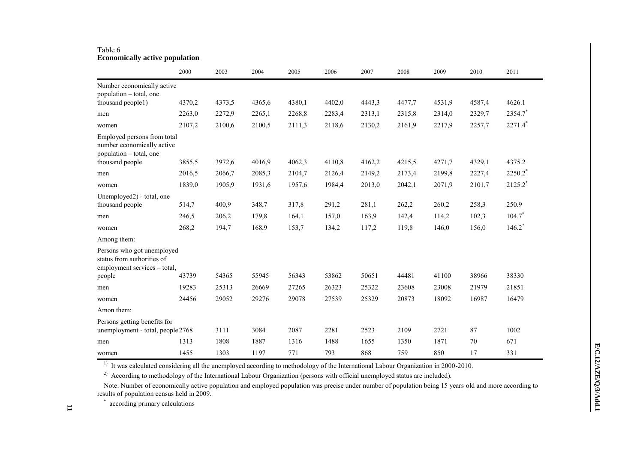#### Table 6 **Economically active population**

|                                                                                          | 2000   | 2003   | 2004   | 2005   | 2006   | 2007   | 2008   | 2009   | 2010   | 2011                  |
|------------------------------------------------------------------------------------------|--------|--------|--------|--------|--------|--------|--------|--------|--------|-----------------------|
| Number economically active                                                               |        |        |        |        |        |        |        |        |        |                       |
| population – total, one                                                                  |        |        |        |        |        |        |        |        |        |                       |
| thousand people1)                                                                        | 4370,2 | 4373,5 | 4365,6 | 4380,1 | 4402,0 | 4443,3 | 4477,7 | 4531,9 | 4587,4 | 4626.1                |
| men                                                                                      | 2263,0 | 2272,9 | 2265,1 | 2268,8 | 2283,4 | 2313,1 | 2315,8 | 2314,0 | 2329,7 | 2354.7                |
| women                                                                                    | 2107,2 | 2100,6 | 2100,5 | 2111,3 | 2118,6 | 2130,2 | 2161,9 | 2217,9 | 2257,7 | $2271.4$ <sup>*</sup> |
| Employed persons from total<br>number economically active<br>population – total, one     |        |        |        |        |        |        |        |        |        |                       |
| thousand people                                                                          | 3855,5 | 3972,6 | 4016.9 | 4062,3 | 4110.8 | 4162,2 | 4215,5 | 4271,7 | 4329,1 | 4375.2                |
| men                                                                                      | 2016.5 | 2066,7 | 2085,3 | 2104,7 | 2126,4 | 2149,2 | 2173,4 | 2199,8 | 2227,4 | $2250.2$ <sup>*</sup> |
| women                                                                                    | 1839,0 | 1905,9 | 1931,6 | 1957,6 | 1984,4 | 2013,0 | 2042,1 | 2071.9 | 2101,7 | $2125.2$ <sup>*</sup> |
| Unemployed2) - total, one                                                                |        |        |        |        |        |        |        |        |        |                       |
| thousand people                                                                          | 514,7  | 400,9  | 348,7  | 317,8  | 291,2  | 281,1  | 262,2  | 260,2  | 258,3  | 250.9                 |
| men                                                                                      | 246,5  | 206,2  | 179,8  | 164,1  | 157,0  | 163,9  | 142,4  | 114,2  | 102,3  | $104.7*$              |
| women                                                                                    | 268,2  | 194,7  | 168,9  | 153,7  | 134,2  | 117,2  | 119,8  | 146,0  | 156,0  | $146.2*$              |
| Among them:                                                                              |        |        |        |        |        |        |        |        |        |                       |
| Persons who got unemployed<br>status from authorities of<br>employment services - total, |        |        |        |        |        |        |        |        |        |                       |
| people                                                                                   | 43739  | 54365  | 55945  | 56343  | 53862  | 50651  | 44481  | 41100  | 38966  | 38330                 |
| men                                                                                      | 19283  | 25313  | 26669  | 27265  | 26323  | 25322  | 23608  | 23008  | 21979  | 21851                 |
| women                                                                                    | 24456  | 29052  | 29276  | 29078  | 27539  | 25329  | 20873  | 18092  | 16987  | 16479                 |
| Amon them:                                                                               |        |        |        |        |        |        |        |        |        |                       |
| Persons getting benefits for<br>unemployment - total, people 2768                        |        | 3111   | 3084   | 2087   | 2281   | 2523   | 2109   | 2721   | 87     | 1002                  |
| men                                                                                      | 1313   | 1808   | 1887   | 1316   | 1488   | 1655   | 1350   | 1871   | 70     | 671                   |
| women                                                                                    | 1455   | 1303   | 1197   | 771    | 793    | 868    | 759    | 850    | 17     | 331                   |

<sup>1)</sup> It was calculated considering all the unemployed according to methodology of the International Labour Organization in 2000-2010.

<sup>2)</sup> According to methodology of the International Labour Organization (persons with official unemployed status are included).

Note: Number of economically active population and employed population was precise under number of population being 15 years old and more according to results of population census held in 2009.

\* according primary calculations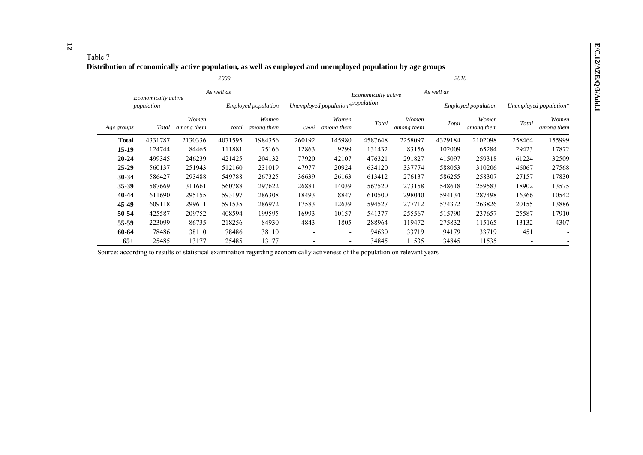## Table 7

**Distribution of economically active population, as well as employed and unemployed population by age groups**

|              |                     |                     | 2009       |                            |                          |                                  |                     |                     | 2010       |                     |        |                        |
|--------------|---------------------|---------------------|------------|----------------------------|--------------------------|----------------------------------|---------------------|---------------------|------------|---------------------|--------|------------------------|
|              | Economically active |                     | As well as |                            |                          |                                  | Economically active |                     | As well as |                     |        |                        |
|              | population          |                     |            | <i>Employed population</i> |                          | Unemployed population*population |                     |                     |            | Employed population |        | Unemployed population* |
| Age groups   | Total               | Women<br>among them | total      | Women<br>among them        | cəmi                     | Women<br>among them              | Total               | Women<br>among them | Total      | Women<br>among them | Total  | Women<br>among them    |
| <b>Total</b> | 4331787             | 2130336             | 4071595    | 1984356                    | 260192                   | 145980                           | 4587648             | 2258097             | 4329184    | 2102098             | 258464 | 155999                 |
| $15-19$      | 124744              | 84465               | 111881     | 75166                      | 12863                    | 9299                             | 131432              | 83156               | 102009     | 65284               | 29423  | 17872                  |
| $20 - 24$    | 499345              | 246239              | 421425     | 204132                     | 77920                    | 42107                            | 476321              | 291827              | 415097     | 259318              | 61224  | 32509                  |
| $25 - 29$    | 560137              | 251943              | 512160     | 231019                     | 47977                    | 20924                            | 634120              | 337774              | 588053     | 310206              | 46067  | 27568                  |
| 30-34        | 586427              | 293488              | 549788     | 267325                     | 36639                    | 26163                            | 613412              | 276137              | 586255     | 258307              | 27157  | 17830                  |
| 35-39        | 587669              | 311661              | 560788     | 297622                     | 26881                    | 14039                            | 567520              | 273158              | 548618     | 259583              | 18902  | 13575                  |
| 40-44        | 611690              | 295155              | 593197     | 286308                     | 18493                    | 8847                             | 610500              | 298040              | 594134     | 287498              | 16366  | 10542                  |
| 45-49        | 609118              | 299611              | 591535     | 286972                     | 17583                    | 12639                            | 594527              | 277712              | 574372     | 263826              | 20155  | 13886                  |
| 50-54        | 425587              | 209752              | 408594     | 199595                     | 16993                    | 10157                            | 541377              | 255567              | 515790     | 237657              | 25587  | 17910                  |
| 55-59        | 223099              | 86735               | 218256     | 84930                      | 4843                     | 1805                             | 288964              | 119472              | 275832     | 115165              | 13132  | 4307                   |
| 60-64        | 78486               | 38110               | 78486      | 38110                      | $\overline{\phantom{a}}$ | $\overline{\phantom{0}}$         | 94630               | 33719               | 94179      | 33719               | 451    |                        |
| $65+$        | 25485               | 13177               | 25485      | 13177                      |                          |                                  | 34845               | 11535               | 34845      | 11535               |        |                        |

Source: according to results of statistical examination regarding economically activeness of the population on relevant years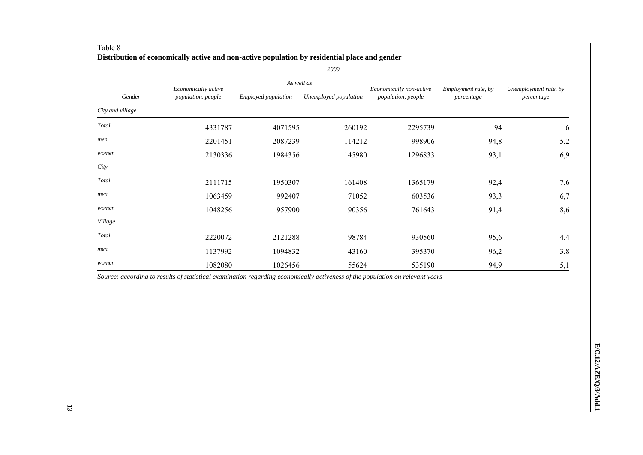|                  |                     |                            | 2009                                                                   |         |                     |                                     |  |
|------------------|---------------------|----------------------------|------------------------------------------------------------------------|---------|---------------------|-------------------------------------|--|
|                  | Economically active | As well as                 |                                                                        |         | Employment rate, by |                                     |  |
| Gender           | population, people  | <i>Employed population</i> | Economically non-active<br>population, people<br>Unemployed population |         | percentage          | Unemployment rate, by<br>percentage |  |
| City and village |                     |                            |                                                                        |         |                     |                                     |  |
| Total            | 4331787             | 4071595                    | 260192                                                                 | 2295739 | 94                  | 6                                   |  |
| men              | 2201451             | 2087239                    | 114212                                                                 | 998906  | 94,8                | 5,2                                 |  |
| women            | 2130336             | 1984356                    | 145980                                                                 | 1296833 | 93,1                | 6,9                                 |  |
| City             |                     |                            |                                                                        |         |                     |                                     |  |
| Total            | 2111715             | 1950307                    | 161408                                                                 | 1365179 | 92,4                | 7,6                                 |  |
| men              | 1063459             | 992407                     | 71052                                                                  | 603536  | 93,3                | 6,7                                 |  |
| women            | 1048256             | 957900                     | 90356                                                                  | 761643  | 91,4                | 8,6                                 |  |
| Village          |                     |                            |                                                                        |         |                     |                                     |  |
| Total            | 2220072             | 2121288                    | 98784                                                                  | 930560  | 95,6                | 4,4                                 |  |
| men              | 1137992             | 1094832                    | 43160                                                                  | 395370  | 96,2                | 3,8                                 |  |
| women            | 1082080             | 1026456                    | 55624                                                                  | 535190  | 94,9                | 5,1                                 |  |

| Table 8                                                                                       |
|-----------------------------------------------------------------------------------------------|
| Distribution of economically active and non-active population by residential place and gender |

*Source: according to results of statistical examination regarding economically activeness of the population on relevant years*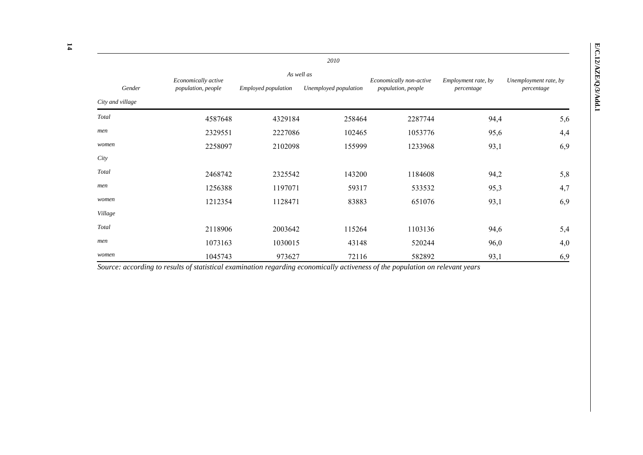|                  |                     |                            | 2010                  |                         |                     |                                     |  |
|------------------|---------------------|----------------------------|-----------------------|-------------------------|---------------------|-------------------------------------|--|
|                  | Economically active | As well as                 |                       | Economically non-active | Employment rate, by | Unemployment rate, by<br>percentage |  |
| Gender           | population, people  | <i>Employed population</i> | Unemployed population | population, people      | percentage          |                                     |  |
| City and village |                     |                            |                       |                         |                     |                                     |  |
| Total            | 4587648             | 4329184                    | 258464                | 2287744                 | 94,4                | 5,6                                 |  |
| men              | 2329551             | 2227086                    | 102465                | 1053776                 | 95,6                | 4,4                                 |  |
| women            | 2258097             | 2102098                    | 155999                | 1233968                 | 93,1                | 6,9                                 |  |
| City             |                     |                            |                       |                         |                     |                                     |  |
| Total            | 2468742             | 2325542                    | 143200                | 1184608                 | 94,2                | 5,8                                 |  |
| men              | 1256388             | 1197071                    | 59317                 | 533532                  | 95,3                | 4,7                                 |  |
| women            | 1212354             | 1128471                    | 83883                 | 651076                  | 93,1                | 6,9                                 |  |
| Village          |                     |                            |                       |                         |                     |                                     |  |
| Total            | 2118906             | 2003642                    | 115264                | 1103136                 | 94,6                | 5,4                                 |  |
| men              | 1073163             | 1030015                    | 43148                 | 520244                  | 96,0                | 4,0                                 |  |
| women            | 1045743             | 973627                     | 72116                 | 582892                  | 93,1                | 6,9                                 |  |

*Source: according to results of statistical examination regarding economically activeness of the population on relevant years*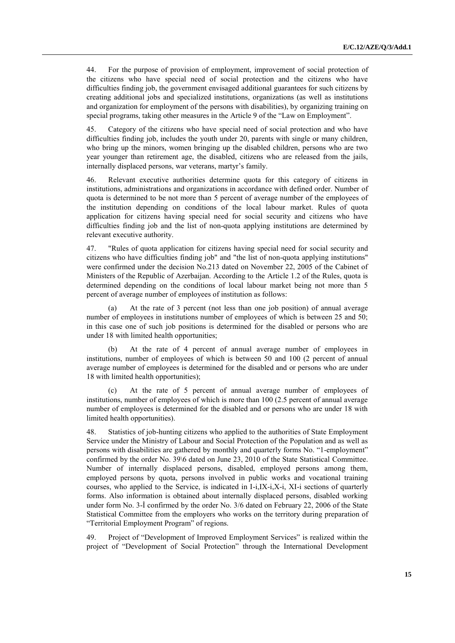44. For the purpose of provision of employment, improvement of social protection of the citizens who have special need of social protection and the citizens who have difficulties finding job, the government envisaged additional guarantees for such citizens by creating additional jobs and specialized institutions, organizations (as well as institutions and organization for employment of the persons with disabilities), by organizing training on special programs, taking other measures in the Article 9 of the "Law on Employment".

45. Category of the citizens who have special need of social protection and who have difficulties finding job, includes the youth under 20, parents with single or many children, who bring up the minors, women bringing up the disabled children, persons who are two year younger than retirement age, the disabled, citizens who are released from the jails, internally displaced persons, war veterans, martyr's family.

46. Relevant executive authorities determine quota for this category of citizens in institutions, administrations and organizations in accordance with defined order. Number of quota is determined to be not more than 5 percent of average number of the employees of the institution depending on conditions of the local labour market. Rules of quota application for citizens having special need for social security and citizens who have difficulties finding job and the list of non-quota applying institutions are determined by relevant executive authority.

47. "Rules of quota application for citizens having special need for social security and citizens who have difficulties finding job" and "the list of non-quota applying institutions" were confirmed under the decision No.213 dated on November 22, 2005 of the Cabinet of Ministers of the Republic of Azerbaijan. According to the Article 1.2 of the Rules, quota is determined depending on the conditions of local labour market being not more than 5 percent of average number of employees of institution as follows:

At the rate of 3 percent (not less than one job position) of annual average number of employees in institutions number of employees of which is between 25 and 50; in this case one of such job positions is determined for the disabled or persons who are under 18 with limited health opportunities;

(b) At the rate of 4 percent of annual average number of employees in institutions, number of employees of which is between 50 and 100 (2 percent of annual average number of employees is determined for the disabled and or persons who are under 18 with limited health opportunities);

At the rate of 5 percent of annual average number of employees of institutions, number of employees of which is more than 100 (2.5 percent of annual average number of employees is determined for the disabled and or persons who are under 18 with limited health opportunities).

48. Statistics of job-hunting citizens who applied to the authorities of State Employment Service under the Ministry of Labour and Social Protection of the Population and as well as persons with disabilities are gathered by monthly and quarterly forms No. "1-employment" confirmed by the order No. 39\6 dated on June 23, 2010 of the State Statistical Committee. Number of internally displaced persons, disabled, employed persons among them, employed persons by quota, persons involved in public works and vocational training courses, who applied to the Service, is indicated in I-i,IX-i,X-i, XI-i sections of quarterly forms. Also information is obtained about internally displaced persons, disabled working under form No. 3-İ confirmed by the order No. 3/6 dated on February 22, 2006 of the State Statistical Committee from the employers who works on the territory during preparation of "Territorial Employment Program" of regions.

49. Project of "Development of Improved Employment Services" is realized within the project of "Development of Social Protection" through the International Development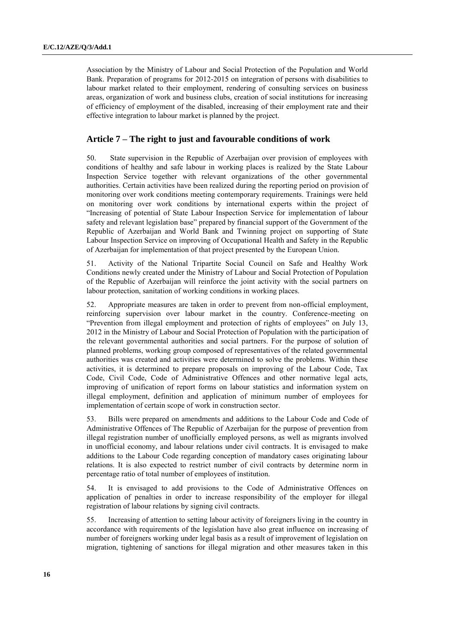Association by the Ministry of Labour and Social Protection of the Population and World Bank. Preparation of programs for 2012-2015 on integration of persons with disabilities to labour market related to their employment, rendering of consulting services on business areas, organization of work and business clubs, creation of social institutions for increasing of efficiency of employment of the disabled, increasing of their employment rate and their effective integration to labour market is planned by the project.

## **Article 7 – The right to just and favourable conditions of work**

50. State supervision in the Republic of Azerbaijan over provision of employees with conditions of healthy and safe labour in working places is realized by the State Labour Inspection Service together with relevant organizations of the other governmental authorities. Certain activities have been realized during the reporting period on provision of monitoring over work conditions meeting contemporary requirements. Trainings were held on monitoring over work conditions by international experts within the project of "Increasing of potential of State Labour Inspection Service for implementation of labour safety and relevant legislation base" prepared by financial support of the Government of the Republic of Azerbaijan and World Bank and Twinning project on supporting of State Labour Inspection Service on improving of Occupational Health and Safety in the Republic of Azerbaijan for implementation of that project presented by the European Union.

51. Activity of the National Tripartite Social Council on Safe and Healthy Work Conditions newly created under the Ministry of Labour and Social Protection of Population of the Republic of Azerbaijan will reinforce the joint activity with the social partners on labour protection, sanitation of working conditions in working places.

52. Appropriate measures are taken in order to prevent from non-official employment, reinforcing supervision over labour market in the country. Conference-meeting on "Prevention from illegal employment and protection of rights of employees" on July 13, 2012 in the Ministry of Labour and Social Protection of Population with the participation of the relevant governmental authorities and social partners. For the purpose of solution of planned problems, working group composed of representatives of the related governmental authorities was created and activities were determined to solve the problems. Within these activities, it is determined to prepare proposals on improving of the Labour Code, Tax Code, Civil Code, Code of Administrative Offences and other normative legal acts, improving of unification of report forms on labour statistics and information system on illegal employment, definition and application of minimum number of employees for implementation of certain scope of work in construction sector.

53. Bills were prepared on amendments and additions to the Labour Code and Code of Administrative Offences of The Republic of Azerbaijan for the purpose of prevention from illegal registration number of unofficially employed persons, as well as migrants involved in unofficial economy, and labour relations under civil contracts. It is envisaged to make additions to the Labour Code regarding conception of mandatory cases originating labour relations. It is also expected to restrict number of civil contracts by determine norm in percentage ratio of total number of employees of institution.

54. It is envisaged to add provisions to the Code of Administrative Offences on application of penalties in order to increase responsibility of the employer for illegal registration of labour relations by signing civil contracts.

55. Increasing of attention to setting labour activity of foreigners living in the country in accordance with requirements of the legislation have also great influence on increasing of number of foreigners working under legal basis as a result of improvement of legislation on migration, tightening of sanctions for illegal migration and other measures taken in this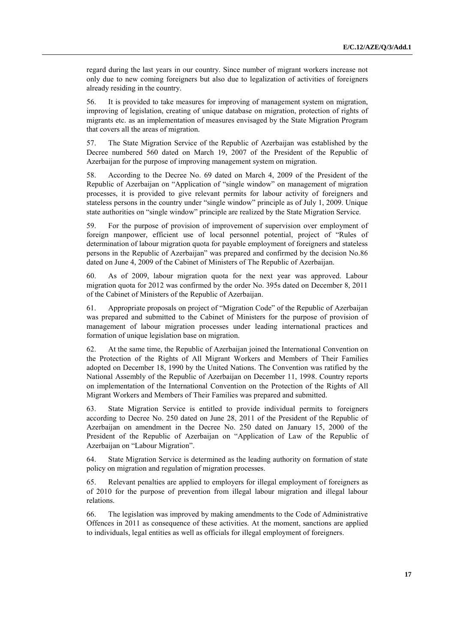regard during the last years in our country. Since number of migrant workers increase not only due to new coming foreigners but also due to legalization of activities of foreigners already residing in the country.

56. It is provided to take measures for improving of management system on migration, improving of legislation, creating of unique database on migration, protection of rights of migrants etc. as an implementation of measures envisaged by the State Migration Program that covers all the areas of migration.

57. The State Migration Service of the Republic of Azerbaijan was established by the Decree numbered 560 dated on March 19, 2007 of the President of the Republic of Azerbaijan for the purpose of improving management system on migration.

58. According to the Decree No. 69 dated on March 4, 2009 of the President of the Republic of Azerbaijan on "Application of "single window" on management of migration processes, it is provided to give relevant permits for labour activity of foreigners and stateless persons in the country under "single window" principle as of July 1, 2009. Unique state authorities on "single window" principle are realized by the State Migration Service.

59. For the purpose of provision of improvement of supervision over employment of foreign manpower, efficient use of local personnel potential, project of "Rules of determination of labour migration quota for payable employment of foreigners and stateless persons in the Republic of Azerbaijan" was prepared and confirmed by the decision No.86 dated on June 4, 2009 of the Cabinet of Ministers of The Republic of Azerbaijan.

60. As of 2009, labour migration quota for the next year was approved. Labour migration quota for 2012 was confirmed by the order No. 395s dated on December 8, 2011 of the Cabinet of Ministers of the Republic of Azerbaijan.

61. Appropriate proposals on project of "Migration Code" of the Republic of Azerbaijan was prepared and submitted to the Cabinet of Ministers for the purpose of provision of management of labour migration processes under leading international practices and formation of unique legislation base on migration.

62. At the same time, the Republic of Azerbaijan joined the International Convention on the Protection of the Rights of All Migrant Workers and Members of Their Families adopted on December 18, 1990 by the United Nations. The Convention was ratified by the National Assembly of the Republic of Azerbaijan on December 11, 1998. Country reports on implementation of the International Convention on the Protection of the Rights of All Migrant Workers and Members of Their Families was prepared and submitted.

63. State Migration Service is entitled to provide individual permits to foreigners according to Decree No. 250 dated on June 28, 2011 of the President of the Republic of Azerbaijan on amendment in the Decree No. 250 dated on January 15, 2000 of the President of the Republic of Azerbaijan on "Application of Law of the Republic of Azerbaijan on "Labour Migration".

64. State Migration Service is determined as the leading authority on formation of state policy on migration and regulation of migration processes.

65. Relevant penalties are applied to employers for illegal employment of foreigners as of 2010 for the purpose of prevention from illegal labour migration and illegal labour relations.

66. The legislation was improved by making amendments to the Code of Administrative Offences in 2011 as consequence of these activities. At the moment, sanctions are applied to individuals, legal entities as well as officials for illegal employment of foreigners.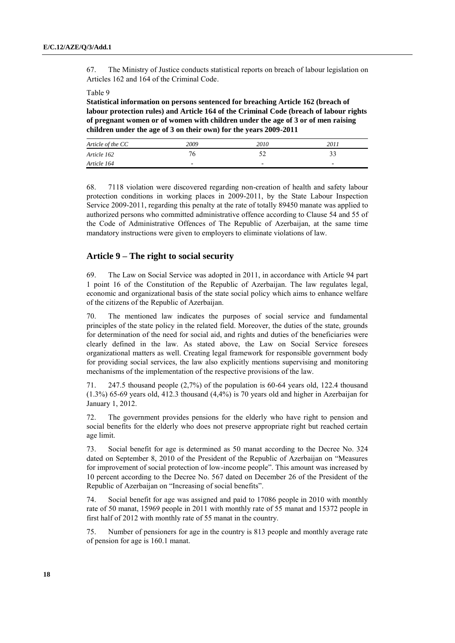67. The Ministry of Justice conducts statistical reports on breach of labour legislation on Articles 162 and 164 of the Criminal Code.

#### Table 9

**Statistical information on persons sentenced for breaching Article 162 (breach of labour protection rules) and Article 164 of the Criminal Code (breach of labour rights of pregnant women or of women with children under the age of 3 or of men raising children under the age of 3 on their own) for the years 2009-2011**

| Article of the CC | 2009                     | 2010                     | 2011                     |
|-------------------|--------------------------|--------------------------|--------------------------|
| Article 162       | 76                       | ے ر                      |                          |
| Article 164       | $\overline{\phantom{0}}$ | $\overline{\phantom{0}}$ | $\overline{\phantom{0}}$ |

68. 7118 violation were discovered regarding non-creation of health and safety labour protection conditions in working places in 2009-2011, by the State Labour Inspection Service 2009-2011, regarding this penalty at the rate of totally 89450 manate was applied to authorized persons who committed administrative offence according to Clause 54 and 55 of the Code of Administrative Offences of The Republic of Azerbaijan, at the same time mandatory instructions were given to employers to eliminate violations of law.

### **Article 9 – The right to social security**

69. The Law on Social Service was adopted in 2011, in accordance with Article 94 part 1 point 16 of the Constitution of the Republic of Azerbaijan. The law regulates legal, economic and organizational basis of the state social policy which aims to enhance welfare of the citizens of the Republic of Azerbaijan.

70. The mentioned law indicates the purposes of social service and fundamental principles of the state policy in the related field. Moreover, the duties of the state, grounds for determination of the need for social aid, and rights and duties of the beneficiaries were clearly defined in the law. As stated above, the Law on Social Service foresees organizational matters as well. Creating legal framework for responsible government body for providing social services, the law also explicitly mentions supervising and monitoring mechanisms of the implementation of the respective provisions of the law.

71. 247.5 thousand people (2,7%) of the population is 60-64 years old, 122.4 thousand (1.3%) 65-69 years old, 412.3 thousand (4,4%) is 70 years old and higher in Azerbaijan for January 1, 2012.

72. The government provides pensions for the elderly who have right to pension and social benefits for the elderly who does not preserve appropriate right but reached certain age limit.

73. Social benefit for age is determined as 50 manat according to the Decree No. 324 dated on September 8, 2010 of the President of the Republic of Azerbaijan on "Measures for improvement of social protection of low-income people". This amount was increased by 10 percent according to the Decree No. 567 dated on December 26 of the President of the Republic of Azerbaijan on "Increasing of social benefits".

74. Social benefit for age was assigned and paid to 17086 people in 2010 with monthly rate of 50 manat, 15969 people in 2011 with monthly rate of 55 manat and 15372 people in first half of 2012 with monthly rate of 55 manat in the country.

75. Number of pensioners for age in the country is 813 people and monthly average rate of pension for age is 160.1 manat.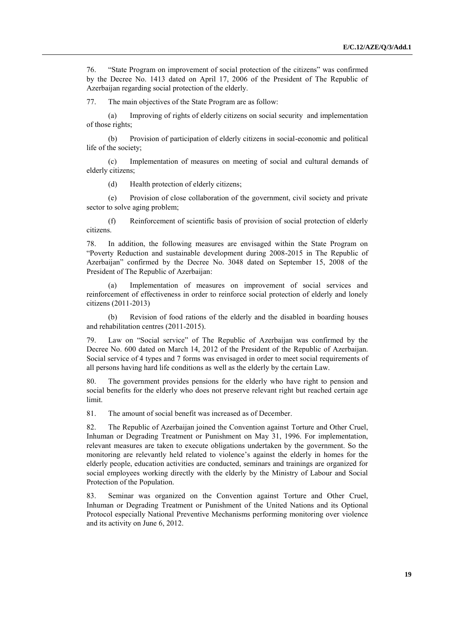76. "State Program on improvement of social protection of the citizens" was confirmed by the Decree No. 1413 dated on April 17, 2006 of the President of The Republic of Azerbaijan regarding social protection of the elderly.

77. The main objectives of the State Program are as follow:

(a) Improving of rights of elderly citizens on social security and implementation of those rights;

(b) Provision of participation of elderly citizens in social-economic and political life of the society;

(c) Implementation of measures on meeting of social and cultural demands of elderly citizens;

(d) Health protection of elderly citizens;

(e) Provision of close collaboration of the government, civil society and private sector to solve aging problem;

(f) Reinforcement of scientific basis of provision of social protection of elderly citizens.

78. In addition, the following measures are envisaged within the State Program on "Poverty Reduction and sustainable development during 2008-2015 in The Republic of Azerbaijan" confirmed by the Decree No. 3048 dated on September 15, 2008 of the President of The Republic of Azerbaijan:

Implementation of measures on improvement of social services and reinforcement of effectiveness in order to reinforce social protection of elderly and lonely citizens (2011-2013)

(b) Revision of food rations of the elderly and the disabled in boarding houses and rehabilitation centres (2011-2015).

79. Law on "Social service" of The Republic of Azerbaijan was confirmed by the Decree No. 600 dated on March 14, 2012 of the President of the Republic of Azerbaijan. Social service of 4 types and 7 forms was envisaged in order to meet social requirements of all persons having hard life conditions as well as the elderly by the certain Law.

80. The government provides pensions for the elderly who have right to pension and social benefits for the elderly who does not preserve relevant right but reached certain age limit.

81. The amount of social benefit was increased as of December.

82. The Republic of Azerbaijan joined the Convention against Torture and Other Cruel, Inhuman or Degrading Treatment or Punishment on May 31, 1996. For implementation, relevant measures are taken to execute obligations undertaken by the government. So the monitoring are relevantly held related to violence's against the elderly in homes for the elderly people, education activities are conducted, seminars and trainings are organized for social employees working directly with the elderly by the Ministry of Labour and Social Protection of the Population.

83. Seminar was organized on the Convention against Torture and Other Cruel, Inhuman or Degrading Treatment or Punishment of the United Nations and its Optional Protocol especially National Preventive Mechanisms performing monitoring over violence and its activity on June 6, 2012.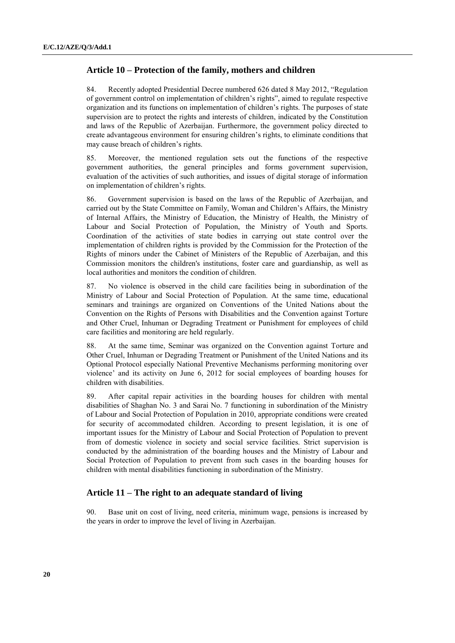## **Article 10 – Protection of the family, mothers and children**

84. Recently adopted Presidential Decree numbered 626 dated 8 May 2012, "Regulation of government control on implementation of children's rights", aimed to regulate respective organization and its functions on implementation of children's rights. The purposes of state supervision are to protect the rights and interests of children, indicated by the Constitution and laws of the Republic of Azerbaijan. Furthermore, the government policy directed to create advantageous environment for ensuring children's rights, to eliminate conditions that may cause breach of children's rights.

85. Moreover, the mentioned regulation sets out the functions of the respective government authorities, the general principles and forms government supervision, evaluation of the activities of such authorities, and issues of digital storage of information on implementation of children's rights.

86. Government supervision is based on the laws of the Republic of Azerbaijan, and carried out by the State Committee on Family, Woman and Children's Affairs, the Ministry of Internal Affairs, the Ministry of Education, the Ministry of Health, the Ministry of Labour and Social Protection of Population, the Ministry of Youth and Sports. Coordination of the activities of state bodies in carrying out state control over the implementation of children rights is provided by the Commission for the Protection of the Rights of minors under the Cabinet of Ministers of the Republic of Azerbaijan, and this Commission monitors the children's institutions, foster care and guardianship, as well as local authorities and monitors the condition of children.

87. No violence is observed in the child care facilities being in subordination of the Ministry of Labour and Social Protection of Population. At the same time, educational seminars and trainings are organized on Conventions of the United Nations about the Convention on the Rights of Persons with Disabilities and the Convention against Torture and Other Cruel, Inhuman or Degrading Treatment or Punishment for employees of child care facilities and monitoring are held regularly.

88. At the same time, Seminar was organized on the Convention against Torture and Other Cruel, Inhuman or Degrading Treatment or Punishment of the United Nations and its Optional Protocol especially National Preventive Mechanisms performing monitoring over violence' and its activity on June 6, 2012 for social employees of boarding houses for children with disabilities.

89. After capital repair activities in the boarding houses for children with mental disabilities of Shaghan No. 3 and Sarai No. 7 functioning in subordination of the Ministry of Labour and Social Protection of Population in 2010, appropriate conditions were created for security of accommodated children. According to present legislation, it is one of important issues for the Ministry of Labour and Social Protection of Population to prevent from of domestic violence in society and social service facilities. Strict supervision is conducted by the administration of the boarding houses and the Ministry of Labour and Social Protection of Population to prevent from such cases in the boarding houses for children with mental disabilities functioning in subordination of the Ministry.

### **Article 11 – The right to an adequate standard of living**

90. Base unit on cost of living, need criteria, minimum wage, pensions is increased by the years in order to improve the level of living in Azerbaijan.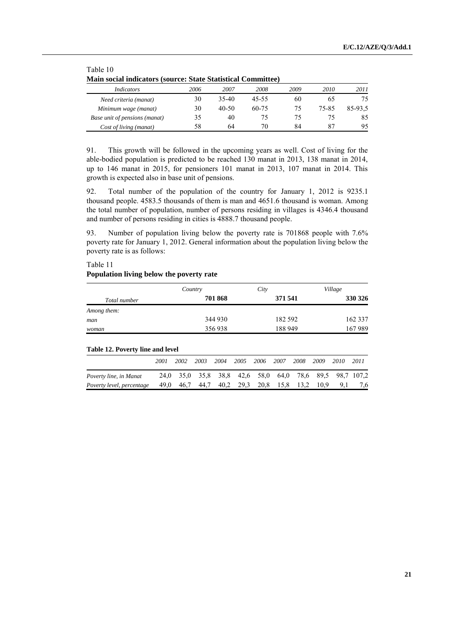| Main social indicators (source: State Statistical Committee) |      |           |       |      |       |         |  |  |  |  |
|--------------------------------------------------------------|------|-----------|-------|------|-------|---------|--|--|--|--|
| <i>Indicators</i>                                            | 2006 | 2007      | 2008  | 2009 | 2010  | 2011    |  |  |  |  |
| Need criteria (manat)                                        | 30   | 35-40     | 45-55 | 60   | 60    | 75      |  |  |  |  |
| Minimum wage (manat)                                         | 30   | $40 - 50$ | 60-75 | 75   | 75-85 | 85-93.5 |  |  |  |  |
| Base unit of pensions (manat)                                | 35   | 40        | 75    | 75   |       | 85      |  |  |  |  |
| Cost of living (manat)                                       | 58   | 64        | 70    | 84   |       | 95      |  |  |  |  |

## Table 10 **Main social indicators (source: State Statistical Committee)**

91. This growth will be followed in the upcoming years as well. Cost of living for the able-bodied population is predicted to be reached 130 manat in 2013, 138 manat in 2014, up to 146 manat in 2015, for pensioners 101 manat in 2013, 107 manat in 2014. This growth is expected also in base unit of pensions.

92. Total number of the population of the country for January 1, 2012 is 9235.1 thousand people. 4583.5 thousands of them is man and 4651.6 thousand is woman. Among the total number of population, number of persons residing in villages is 4346.4 thousand and number of persons residing in cities is 4888.7 thousand people.

93. Number of population living below the poverty rate is 701868 people with 7.6% poverty rate for January 1, 2012. General information about the population living below the poverty rate is as follows:

Table 11

#### **Population living below the poverty rate**

|                                  |      | Country |         |      |      | City    |      |      |         | Village |      |  |
|----------------------------------|------|---------|---------|------|------|---------|------|------|---------|---------|------|--|
| Total number                     |      |         | 701 868 |      |      | 371 541 |      |      | 330 326 |         |      |  |
| Among them:                      |      |         |         |      |      |         |      |      |         |         |      |  |
| man                              |      |         | 344 930 |      |      | 182 592 |      |      | 162 337 |         |      |  |
| woman                            |      |         | 356938  |      |      | 188 949 |      |      | 167 989 |         |      |  |
|                                  |      |         |         |      |      |         |      |      |         |         |      |  |
| Table 12. Poverty line and level |      |         |         |      |      |         |      |      |         |         |      |  |
|                                  | 2001 | 2002    | 2003    | 2004 | 2005 | 2006    | 2007 | 2008 | 2009    | 2010    | 2011 |  |

*Poverty line, in Manat* 24,0 35,0 35,8 38,8 42,6 58,0 64,0 78,6 89,5 98,7 107,2 *Poverty level, percentage* 49,0 46,7 44,7 40,2 29,3 20,8 15,8 13,2 10,9 9,1 7,6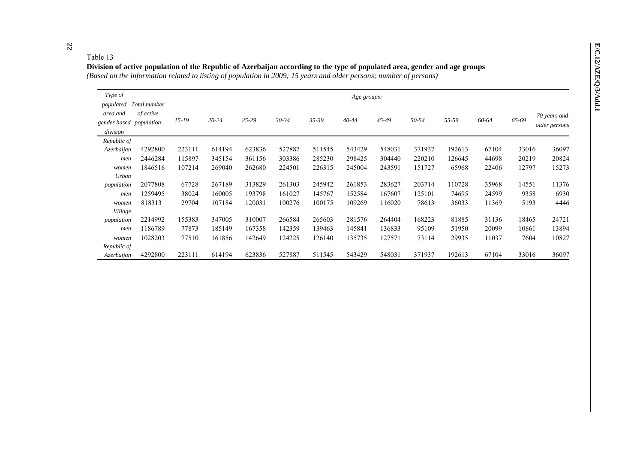## Table 13

### **Division of active population of the Republic of Azerbaijan according to the type of populated area, gender and age groups** *(Based on the information related to listing of population in 2009; 15 years and older persons; number of persons)*

| Type of<br>populated                            | Total number | Age groups: |           |        |           |           |           |        |        |        |       |       |                               |
|-------------------------------------------------|--------------|-------------|-----------|--------|-----------|-----------|-----------|--------|--------|--------|-------|-------|-------------------------------|
| area and<br>gender based population<br>division | of active    | $15-19$     | $20 - 24$ | 25-29  | $30 - 34$ | $35 - 39$ | $40 - 44$ | 45-49  | 50-54  | 55-59  | 60-64 | 65-69 | 70 years and<br>older persons |
| Republic of                                     |              |             |           |        |           |           |           |        |        |        |       |       |                               |
| Azerbaijan                                      | 4292800      | 223111      | 614194    | 623836 | 527887    | 511545    | 543429    | 548031 | 371937 | 192613 | 67104 | 33016 | 36097                         |
| men                                             | 2446284      | 115897      | 345154    | 361156 | 303386    | 285230    | 298425    | 304440 | 220210 | 126645 | 44698 | 20219 | 20824                         |
| women                                           | 1846516      | 107214      | 269040    | 262680 | 224501    | 226315    | 245004    | 243591 | 151727 | 65968  | 22406 | 12797 | 15273                         |
| Urban                                           |              |             |           |        |           |           |           |        |        |        |       |       |                               |
| population                                      | 2077808      | 67728       | 267189    | 313829 | 261303    | 245942    | 261853    | 283627 | 203714 | 110728 | 35968 | 14551 | 11376                         |
| men                                             | 1259495      | 38024       | 160005    | 193798 | 161027    | 145767    | 152584    | 167607 | 125101 | 74695  | 24599 | 9358  | 6930                          |
| women                                           | 818313       | 29704       | 107184    | 120031 | 100276    | 100175    | 109269    | 116020 | 78613  | 36033  | 11369 | 5193  | 4446                          |
| Village                                         |              |             |           |        |           |           |           |        |        |        |       |       |                               |
| population                                      | 2214992      | 155383      | 347005    | 310007 | 266584    | 265603    | 281576    | 264404 | 168223 | 81885  | 31136 | 18465 | 24721                         |
| men                                             | 1186789      | 77873       | 185149    | 167358 | 142359    | 139463    | 145841    | 136833 | 95109  | 51950  | 20099 | 10861 | 13894                         |
| women                                           | 1028203      | 77510       | 161856    | 142649 | 124225    | 126140    | 135735    | 127571 | 73114  | 29935  | 11037 | 7604  | 10827                         |
| Republic of                                     |              |             |           |        |           |           |           |        |        |        |       |       |                               |
| Azerbaijan                                      | 4292800      | 223111      | 614194    | 623836 | 527887    | 511545    | 543429    | 548031 | 371937 | 192613 | 67104 | 33016 | 36097                         |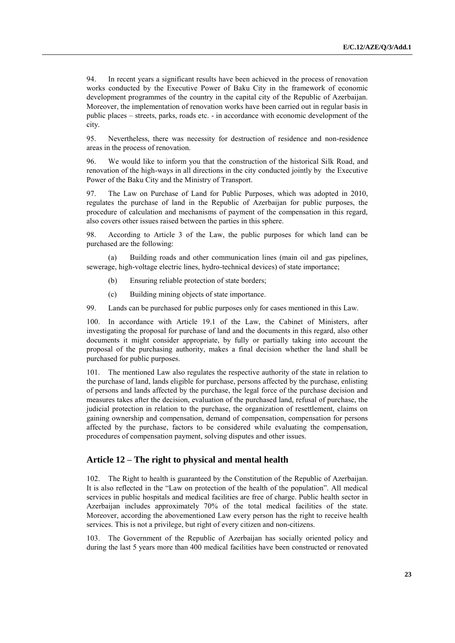94. In recent years a significant results have been achieved in the process of renovation works conducted by the Executive Power of Baku City in the framework of economic development programmes of the country in the capital city of the Republic of Azerbaijan. Moreover, the implementation of renovation works have been carried out in regular basis in public places – streets, parks, roads etc. - in accordance with economic development of the city.

95. Nevertheless, there was necessity for destruction of residence and non-residence areas in the process of renovation.

96. We would like to inform you that the construction of the historical Silk Road, and renovation of the high-ways in all directions in the city conducted jointly by the Executive Power of the Baku City and the Ministry of Transport.

97. The Law on Purchase of Land for Public Purposes, which was adopted in 2010, regulates the purchase of land in the Republic of Azerbaijan for public purposes, the procedure of calculation and mechanisms of payment of the compensation in this regard, also covers other issues raised between the parties in this sphere.

98. According to Article 3 of the Law, the public purposes for which land can be purchased are the following:

(a) Building roads and other communication lines (main oil and gas pipelines, sewerage, high-voltage electric lines, hydro-technical devices) of state importance;

- (b) Ensuring reliable protection of state borders;
- (c) Building mining objects of state importance.

99. Lands can be purchased for public purposes only for cases mentioned in this Law.

100. In accordance with Article 19.1 of the Law, the Cabinet of Ministers, after investigating the proposal for purchase of land and the documents in this regard, also other documents it might consider appropriate, by fully or partially taking into account the proposal of the purchasing authority, makes a final decision whether the land shall be purchased for public purposes.

101. The mentioned Law also regulates the respective authority of the state in relation to the purchase of land, lands eligible for purchase, persons affected by the purchase, enlisting of persons and lands affected by the purchase, the legal force of the purchase decision and measures takes after the decision, evaluation of the purchased land, refusal of purchase, the judicial protection in relation to the purchase, the organization of resettlement, claims on gaining ownership and compensation, demand of compensation, compensation for persons affected by the purchase, factors to be considered while evaluating the compensation, procedures of compensation payment, solving disputes and other issues.

## **Article 12 – The right to physical and mental health**

102. The Right to health is guaranteed by the Constitution of the Republic of Azerbaijan. It is also reflected in the "Law on protection of the health of the population". All medical services in public hospitals and medical facilities are free of charge. Public health sector in Azerbaijan includes approximately 70% of the total medical facilities of the state. Moreover, according the abovementioned Law every person has the right to receive health services. This is not a privilege, but right of every citizen and non-citizens.

103. The Government of the Republic of Azerbaijan has socially oriented policy and during the last 5 years more than 400 medical facilities have been constructed or renovated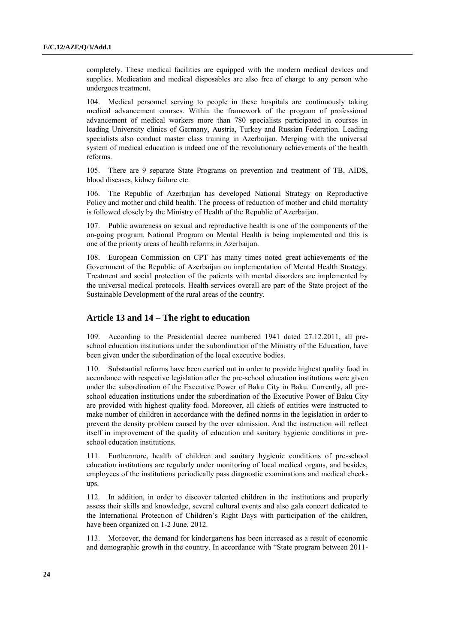completely. These medical facilities are equipped with the modern medical devices and supplies. Medication and medical disposables are also free of charge to any person who undergoes treatment.

104. Medical personnel serving to people in these hospitals are continuously taking medical advancement courses. Within the framework of the program of professional advancement of medical workers more than 780 specialists participated in courses in leading University clinics of Germany, Austria, Turkey and Russian Federation. Leading specialists also conduct master class training in Azerbaijan. Merging with the universal system of medical education is indeed one of the revolutionary achievements of the health reforms.

105. There are 9 separate State Programs on prevention and treatment of TB, AIDS, blood diseases, kidney failure etc.

106. The Republic of Azerbaijan has developed National Strategy on Reproductive Policy and mother and child health. The process of reduction of mother and child mortality is followed closely by the Ministry of Health of the Republic of Azerbaijan.

107. Public awareness on sexual and reproductive health is one of the components of the on-going program. National Program on Mental Health is being implemented and this is one of the priority areas of health reforms in Azerbaijan.

108. European Commission on CPT has many times noted great achievements of the Government of the Republic of Azerbaijan on implementation of Mental Health Strategy. Treatment and social protection of the patients with mental disorders are implemented by the universal medical protocols. Health services overall are part of the State project of the Sustainable Development of the rural areas of the country.

## **Article 13 and 14 – The right to education**

According to the Presidential decree numbered 1941 dated 27.12.2011, all preschool education institutions under the subordination of the Ministry of the Education, have been given under the subordination of the local executive bodies.

110. Substantial reforms have been carried out in order to provide highest quality food in accordance with respective legislation after the pre-school education institutions were given under the subordination of the Executive Power of Baku City in Baku. Currently, all preschool education institutions under the subordination of the Executive Power of Baku City are provided with highest quality food. Moreover, all chiefs of entities were instructed to make number of children in accordance with the defined norms in the legislation in order to prevent the density problem caused by the over admission. And the instruction will reflect itself in improvement of the quality of education and sanitary hygienic conditions in preschool education institutions.

111. Furthermore, health of children and sanitary hygienic conditions of pre-school education institutions are regularly under monitoring of local medical organs, and besides, employees of the institutions periodically pass diagnostic examinations and medical checkups.

112. In addition, in order to discover talented children in the institutions and properly assess their skills and knowledge, several cultural events and also gala concert dedicated to the International Protection of Children's Right Days with participation of the children, have been organized on 1-2 June, 2012.

113. Moreover, the demand for kindergartens has been increased as a result of economic and demographic growth in the country. In accordance with "State program between 2011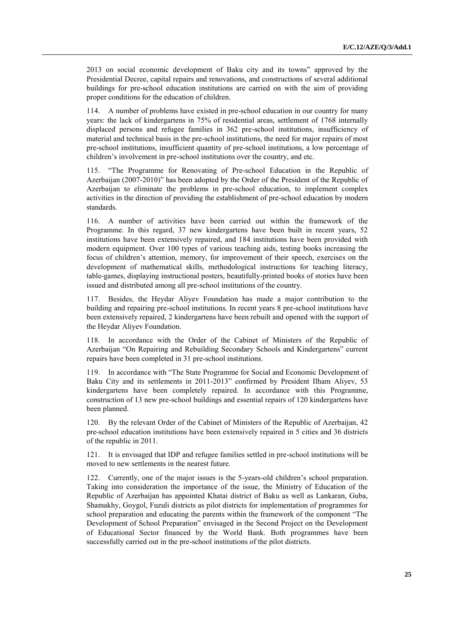2013 on social economic development of Baku city and its towns" approved by the Presidential Decree, capital repairs and renovations, and constructions of several additional buildings for pre-school education institutions are carried on with the aim of providing proper conditions for the education of children.

114. A number of problems have existed in pre-school education in our country for many years: the lack of kindergartens in 75% of residential areas, settlement of 1768 internally displaced persons and refugee families in 362 pre-school institutions, insufficiency of material and technical basis in the pre-school institutions, the need for major repairs of most pre-school institutions, insufficient quantity of pre-school institutions, a low percentage of children's involvement in pre-school institutions over the country, and etc.

115. "The Programme for Renovating of Pre-school Education in the Republic of Azerbaijan (2007-2010)" has been adopted by the Order of the President of the Republic of Azerbaijan to eliminate the problems in pre-school education, to implement complex activities in the direction of providing the establishment of pre-school education by modern standards.

116. A number of activities have been carried out within the framework of the Programme. In this regard, 37 new kindergartens have been built in recent years, 52 institutions have been extensively repaired, and 184 institutions have been provided with modern equipment. Over 100 types of various teaching aids, testing books increasing the focus of children's attention, memory, for improvement of their speech, exercises on the development of mathematical skills, methodological instructions for teaching literacy, table-games, displaying instructional posters, beautifully-printed books of stories have been issued and distributed among all pre-school institutions of the country.

117. Besides, the Heydar Aliyev Foundation has made a major contribution to the building and repairing pre-school institutions. In recent years 8 pre-school institutions have been extensively repaired, 2 kindergartens have been rebuilt and opened with the support of the Heydar Aliyev Foundation.

118. In accordance with the Order of the Cabinet of Ministers of the Republic of Azerbaijan "On Repairing and Rebuilding Secondary Schools and Kindergartens" current repairs have been completed in 31 pre-school institutions.

119. In accordance with "The State Programme for Social and Economic Development of Baku City and its settlements in 2011-2013" confirmed by President Ilham Aliyev, 53 kindergartens have been completely repaired. In accordance with this Programme, construction of 13 new pre-school buildings and essential repairs of 120 kindergartens have been planned.

120. By the relevant Order of the Cabinet of Ministers of the Republic of Azerbaijan, 42 pre-school education institutions have been extensively repaired in 5 cities and 36 districts of the republic in 2011.

121. It is envisaged that IDP and refugee families settled in pre-school institutions will be moved to new settlements in the nearest future.

122. Currently, one of the major issues is the 5-years-old children's school preparation. Taking into consideration the importance of the issue, the Ministry of Education of the Republic of Azerbaijan has appointed Khatai district of Baku as well as Lankaran, Guba, Shamakhy, Goygol, Fuzuli districts as pilot districts for implementation of programmes for school preparation and educating the parents within the framework of the component "The Development of School Preparation" envisaged in the Second Project on the Development of Educational Sector financed by the World Bank. Both programmes have been successfully carried out in the pre-school institutions of the pilot districts.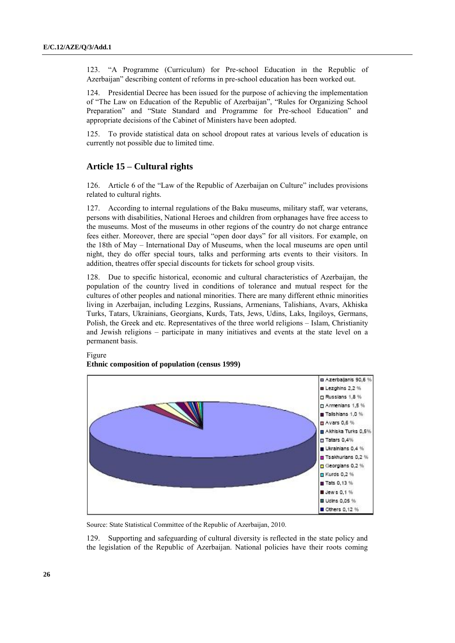123. "A Programme (Curriculum) for Pre-school Education in the Republic of Azerbaijan" describing content of reforms in pre-school education has been worked out.

124. Presidential Decree has been issued for the purpose of achieving the implementation of "The Law on Education of the Republic of Azerbaijan", "Rules for Organizing School Preparation" and "State Standard and Programme for Pre-school Education" and appropriate decisions of the Cabinet of Ministers have been adopted.

125. To provide statistical data on school dropout rates at various levels of education is currently not possible due to limited time.

## **Article 15 – Cultural rights**

126. Article 6 of the "Law of the Republic of Azerbaijan on Culture" includes provisions related to cultural rights.

127. According to internal regulations of the Baku museums, military staff, war veterans, persons with disabilities, National Heroes and children from orphanages have free access to the museums. Most of the museums in other regions of the country do not charge entrance fees either. Moreover, there are special "open door days" for all visitors. For example, on the 18th of May – International Day of Museums, when the local museums are open until night, they do offer special tours, talks and performing arts events to their visitors. In addition, theatres offer special discounts for tickets for school group visits.

128. Due to specific historical, economic and cultural characteristics of Azerbaijan, the population of the country lived in conditions of tolerance and mutual respect for the cultures of other peoples and national minorities. There are many different ethnic minorities living in Azerbaijan, including Lezgins, Russians, Armenians, Talishians, Avars, Akhiska Turks, Tatars, Ukrainians, Georgians, Kurds, Tats, Jews, Udins, Laks, Ingiloys, Germans, Polish, the Greek and etc. Representatives of the three world religions – Islam, Christianity and Jewish religions – participate in many initiatives and events at the state level on a permanent basis.

#### Figure **Ethnic composition of population (census 1999)**



Source: State Statistical Committee of the Republic of Azerbaijan, 2010.

129. Supporting and safeguarding of cultural diversity is reflected in the state policy and the legislation of the Republic of Azerbaijan. National policies have their roots coming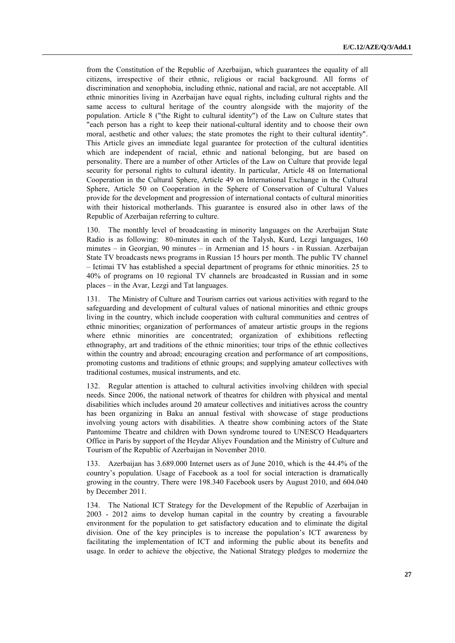from the Constitution of the Republic of Azerbaijan, which guarantees the equality of all citizens, irrespective of their ethnic, religious or racial background. All forms of discrimination and xenophobia, including ethnic, national and racial, are not acceptable. All ethnic minorities living in Azerbaijan have equal rights, including cultural rights and the same access to cultural heritage of the country alongside with the majority of the population. Article 8 ("the Right to cultural identity") of the Law on Culture states that "each person has a right to keep their national-cultural identity and to choose their own moral, aesthetic and other values; the state promotes the right to their cultural identity". This Article gives an immediate legal guarantee for protection of the cultural identities which are independent of racial, ethnic and national belonging, but are based on personality. There are a number of other Articles of the Law on Culture that provide legal security for personal rights to cultural identity. In particular, Article 48 on International Cooperation in the Cultural Sphere, Article 49 on International Exchange in the Cultural Sphere, Article 50 on Cooperation in the Sphere of Conservation of Cultural Values provide for the development and progression of international contacts of cultural minorities with their historical motherlands. This guarantee is ensured also in other laws of the Republic of Azerbaijan referring to culture.

130. The monthly level of broadcasting in minority languages on the Azerbaijan State Radio is as following: 80-minutes in each of the Talysh, Kurd, Lezgi languages, 160 minutes – in Georgian, 90 minutes – in Armenian and 15 hours - in Russian. Azerbaijan State TV broadcasts news programs in Russian 15 hours per month. The public TV channel – Ictimai TV has established a special department of programs for ethnic minorities. 25 to 40% of programs on 10 regional TV channels are broadcasted in Russian and in some places – in the Avar, Lezgi and Tat languages.

131. The Ministry of Culture and Tourism carries out various activities with regard to the safeguarding and development of cultural values of national minorities and ethnic groups living in the country, which include cooperation with cultural communities and centres of ethnic minorities; organization of performances of amateur artistic groups in the regions where ethnic minorities are concentrated; organization of exhibitions reflecting ethnography, art and traditions of the ethnic minorities; tour trips of the ethnic collectives within the country and abroad; encouraging creation and performance of art compositions, promoting customs and traditions of ethnic groups; and supplying amateur collectives with traditional costumes, musical instruments, and etc.

132. Regular attention is attached to cultural activities involving children with special needs. Since 2006, the national network of theatres for children with physical and mental disabilities which includes around 20 amateur collectives and initiatives across the country has been organizing in Baku an annual festival with showcase of stage productions involving young actors with disabilities. A theatre show combining actors of the State Pantomime Theatre and children with Down syndrome toured to UNESCO Headquarters Office in Paris by support of the Heydar Aliyev Foundation and the Ministry of Culture and Tourism of the Republic of Azerbaijan in November 2010.

133. Azerbaijan has 3.689.000 Internet users as of June 2010, which is the 44.4% of the country's population. Usage of Facebook as a tool for social interaction is dramatically growing in the country. There were 198.340 Facebook users by August 2010, and 604.040 by December 2011.

134. The National ICT Strategy for the Development of the Republic of Azerbaijan in 2003 - 2012 aims to develop human capital in the country by creating a favourable environment for the population to get satisfactory education and to eliminate the digital division. One of the key principles is to increase the population's ICT awareness by facilitating the implementation of ICT and informing the public about its benefits and usage. In order to achieve the objective, the National Strategy pledges to modernize the